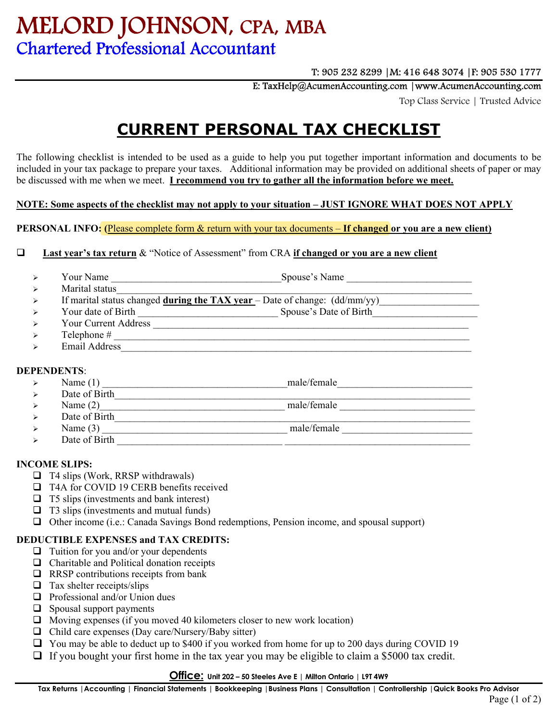# MELORD JOHNSON**,** CPA**,** MBA Chartered Professional Accountant

# T: 905 232 8299 |M: 416 648 3074 |F: 905 530 1777

E: TaxHelp@AcumenAccounting.com |www.AcumenAccounting.com

Top Class Service | Trusted Advice

# **CURRENT PERSONAL TAX CHECKLIST**

The following checklist is intended to be used as a guide to help you put together important information and documents to be included in your tax package to prepare your taxes. Additional information may be provided on additional sheets of paper or may be discussed with me when we meet. **I recommend you try to gather all the information before we meet.** 

### **NOTE: Some aspects of the checklist may not apply to your situation – JUST IGNORE WHAT DOES NOT APPLY**

**PERSONAL INFO: (**Please complete form & return with your tax documents – **If changed or you are a new client)** 

### **Last year's tax return** & "Notice of Assessment" from CRA **if changed or you are a new client**

| יי |  |
|----|--|
|    |  |

- > If marital status changed **during the TAX year** Date of change: (dd/mm/yy)
- Your date of Birth \_\_\_\_\_\_\_\_\_\_\_\_\_\_\_\_\_\_\_\_\_\_\_\_\_\_\_\_ Spouse's Date of Birth\_\_\_\_\_\_\_\_\_\_\_\_\_\_\_\_\_\_\_\_\_
- Your Current Address \_\_\_\_\_\_\_\_\_\_\_\_\_\_\_\_\_\_\_\_\_\_\_\_\_\_\_\_\_\_\_\_\_\_\_\_\_\_\_\_\_\_\_\_\_\_\_\_\_\_\_\_\_\_\_\_\_\_\_\_\_\_\_
- Telephone # \_\_\_\_\_\_\_\_\_\_\_\_\_\_\_\_\_\_\_\_\_\_\_\_\_\_\_\_\_\_\_\_\_\_\_\_\_\_\_\_\_\_\_\_\_\_\_\_\_\_\_\_\_\_\_\_\_\_\_\_\_\_\_\_\_\_\_\_\_\_\_
- $\triangleright$  Email Address

# **DEPENDENTS**:

- Name (1) \_\_\_\_\_\_\_\_\_\_\_\_\_\_\_\_\_\_\_\_\_\_\_\_\_\_\_\_\_\_\_\_\_\_\_\_\_male/female\_\_\_\_\_\_\_\_\_\_\_\_\_\_\_\_\_\_\_\_\_\_\_\_\_\_\_
- $\triangleright$  Date of Birth
	- Name (2)\_\_\_\_\_\_\_\_\_\_\_\_\_\_\_\_\_\_\_\_\_\_\_\_\_\_\_\_\_\_\_\_\_\_\_\_\_ male/female \_\_\_\_\_\_\_\_\_\_\_\_\_\_\_\_\_\_\_\_\_\_\_\_\_\_\_
	- > Date of Birth
	- Name (3) \_\_\_\_\_\_\_\_\_\_\_\_\_\_\_\_\_\_\_\_\_\_\_\_\_\_\_\_\_\_\_\_\_\_\_\_\_ male/female \_\_\_\_\_\_\_\_\_\_\_\_\_\_\_\_\_\_\_\_\_\_\_\_\_\_
	- $\triangleright$  Date of Birth  $\square$

# **INCOME SLIPS:**

- $\Box$  T4 slips (Work, RRSP withdrawals)
- □ T4A for COVID 19 CERB benefits received
- $\Box$  T5 slips (investments and bank interest)
- $\Box$  T3 slips (investments and mutual funds)
- Other income (i.e.: Canada Savings Bond redemptions, Pension income, and spousal support)

# **DEDUCTIBLE EXPENSES and TAX CREDITS:**

- $\Box$  Tuition for you and/or your dependents
- $\Box$  Charitable and Political donation receipts
- $\Box$  RRSP contributions receipts from bank
- $\Box$  Tax shelter receipts/slips
- $\Box$  Professional and/or Union dues
- $\Box$  Spousal support payments
- $\Box$  Moving expenses (if you moved 40 kilometers closer to new work location)
- $\Box$  Child care expenses (Day care/Nursery/Baby sitter)
- $\Box$  You may be able to deduct up to \$400 if you worked from home for up to 200 days during COVID 19
- $\Box$  If you bought your first home in the tax year you may be eligible to claim a \$5000 tax credit.

#### **Office: Unit 202 – 50 Steeles Ave E | Milton Ontario | L9T 4W9**